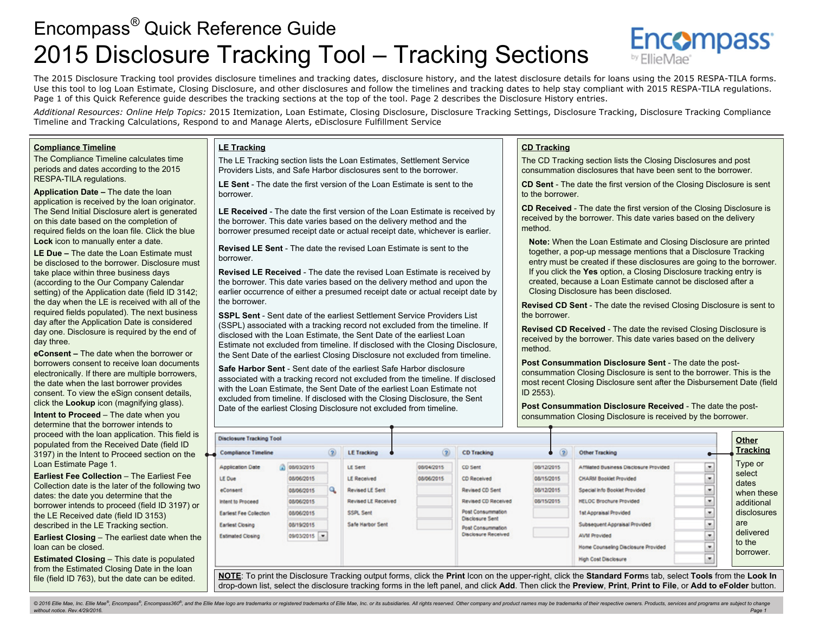## Encompass *®* Quick Reference Guide 2015 Disclosure Tracking Tool – Tracking Sections

The 2015 Disclosure Tracking tool provides disclosure timelines and tracking dates, disclosure history, and the latest disclosure details for loans using the 2015 RESPA-TILA forms. Use this tool to log Loan Estimate, Closing Disclosure, and other disclosures and follow the timelines and tracking dates to help stay compliant with 2015 RESPA-TILA regulations. Page 1 of this Quick Reference guide describes the tracking sections at the top of the tool. Page 2 describes the Disclosure History entries.

*Additional Resources: Online Help Topics:* 2015 Itemization, Loan Estimate, Closing Disclosure, Disclosure Tracking Settings, Disclosure Tracking, Disclosure Tracking Compliance Timeline and Tracking Calculations, Respond to and Manage Alerts, eDisclosure Fulfillment Service

#### **Compliance Timeline**

The Compliance Timeline calculates time periods and dates according to the 2015 RESPA-TILA regulations.

**Application Date –** The date the loan application is received by the loan originator. The Send Initial Disclosure alert is generated on this date based on the completion of required fields on the loan file. Click the blue **Lock** icon to manually enter a date.

**LE Due –** The date the Loan Estimate must be disclosed to the borrower. Disclosure must take place within three business days (according to the Our Company Calendar setting) of the Application date (field ID 3142; the day when the LE is received with all of the required fields populated). The next business day after the Application Date is considered day one. Disclosure is required by the end of day three.

**eConsent –** The date when the borrower or borrowers consent to receive loan documents electronically. If there are multiple borrowers, the date when the last borrower provides consent. To view the eSign consent details, click the **Lookup** icon (magnifying glass). **Intent to Proceed** – The date when you determine that the borrower intends to proceed with the loan application. This field is populated from the Received Date (field ID 3197) in the Intent to Proceed section on the Loan Estimate Page 1.

**Earliest Fee Collection - The Earliest Fee** Collection date is the later of the following two dates: the date you determine that the borrower intends to proceed (field ID 3197) or the LE Received date (field ID 3153) described in the LE Tracking section.

**Earliest Closing** – The earliest date when the loan can be closed.

**Estimated Closing – This date is populated** from the Estimated Closing Date in the loan file (field ID 763), but the date can be edited.

#### **LE Tracking**

The LE Tracking section lists the Loan Estimates, Settlement Service Providers Lists, and Safe Harbor disclosures sent to the borrower.

**LE Sent** - The date the first version of the Loan Estimate is sent to the borrower.

**LE Received** - The date the first version of the Loan Estimate is received by the borrower. This date varies based on the delivery method and the borrower presumed receipt date or actual receipt date, whichever is earlier.

**Revised LE Sent** - The date the revised Loan Estimate is sent to the borrower.

**Revised LE Received** - The date the revised Loan Estimate is received by the borrower. This date varies based on the delivery method and upon the earlier occurrence of either a presumed receipt date or actual receipt date by the borrower.

**SSPL Sent** - Sent date of the earliest Settlement Service Providers List (SSPL) associated with a tracking record not excluded from the timeline. If disclosed with the Loan Estimate, the Sent Date of the earliest Loan Estimate not excluded from timeline. If disclosed with the Closing Disclosure, the Sent Date of the earliest Closing Disclosure not excluded from timeline.

**Safe Harbor Sent** - Sent date of the earliest Safe Harbor disclosure associated with a tracking record not excluded from the timeline. If disclosed with the Loan Estimate, the Sent Date of the earliest Loan Estimate not excluded from timeline. If disclosed with the Closing Disclosure, the Sent Date of the earliest Closing Disclosure not excluded from timeline.

#### **CD Tracking**

The CD Tracking section lists the Closing Disclosures and post consummation disclosures that have been sent to the borrower.

**CD Sent** - The date the first version of the Closing Disclosure is sent to the borrower.

**Encompass** 

**CD Received** - The date the first version of the Closing Disclosure is received by the borrower. This date varies based on the delivery method.

**Note:** When the Loan Estimate and Closing Disclosure are printed together, a pop-up message mentions that a Disclosure Tracking entry must be created if these disclosures are going to the borrower. If you click the **Yes** option, a Closing Disclosure tracking entry is created, because a Loan Estimate cannot be disclosed after a Closing Disclosure has been disclosed.

**Revised CD Sent** - The date the revised Closing Disclosure is sent to the borrower.

**Revised CD Received** - The date the revised Closing Disclosure is received by the borrower. This date varies based on the delivery method.

**Post Consummation Disclosure Sent** - The date the postconsummation Closing Disclosure is sent to the borrower. This is the most recent Closing Disclosure sent after the Disbursement Date (field ID 2553).

**Post Consummation Disclosure Received** - The date the postconsummation Closing Disclosure is received by the borrower.

| <b>Disclosure Tracking Tool</b>                                                                                                                                |                                                                                                |   |                                                                                                          |                          |                                                                                                                                                                    |                                                      |                                                                                                                                                                                                                                                                     |                                                                                                                        | <b>Other</b>                                                                                        |  |
|----------------------------------------------------------------------------------------------------------------------------------------------------------------|------------------------------------------------------------------------------------------------|---|----------------------------------------------------------------------------------------------------------|--------------------------|--------------------------------------------------------------------------------------------------------------------------------------------------------------------|------------------------------------------------------|---------------------------------------------------------------------------------------------------------------------------------------------------------------------------------------------------------------------------------------------------------------------|------------------------------------------------------------------------------------------------------------------------|-----------------------------------------------------------------------------------------------------|--|
| <b>Compliance Timeline</b>                                                                                                                                     |                                                                                                |   | <b>LE Tracking</b>                                                                                       | $\circ$                  | <b>CD Tracking</b>                                                                                                                                                 | $\circledR$<br>$\bullet$                             | Other Tracking                                                                                                                                                                                                                                                      |                                                                                                                        | <b>Tracking</b>                                                                                     |  |
| â<br><b>Application Date</b><br>LE Due<br>eConsent<br><b>Intent to Proceed</b><br><b>Earlest Fee Collection</b><br>Earlest Closing<br><b>Estimated Closing</b> | 08/03/2015<br>08/06/2015<br>08/06/2015<br>08/06/2015<br>08/06/2015<br>08/19/2015<br>09/03/2015 | Q | LE Sent<br><b>LE Received</b><br>Revised LE Sent<br>Revised LE Received<br>SSPL Sent<br>Safe Harbor Sent | 08/04/2015<br>08/06/2015 | CD Sent<br>CD Received<br>Revised CD Sent<br>Revised CD Received<br>Post Consummation<br><b>Disclosure Sent</b><br>Post Consummation<br><b>Disclosure Received</b> | 08/12/2015<br>08/15/2015<br>08/12/2015<br>08/15/2015 | Affilated Business Disclosure Provided<br><b>CHARM Booklet Provided</b><br>Special Info Booklet Provided<br><b>HELOC Brochure Provided</b><br>1st Appraisal Provided<br>Subsequent Appraisal Provided<br><b>AVM Provided</b><br>Home Counseling Disclosure Provided | ×<br>$-$<br>$\overline{\phantom{a}}$<br>--<br>۰<br>_<br>-<br>٠<br>×.<br>__<br>×.<br>---<br>$\bullet$<br>--<br>---<br>× | Type or<br>select<br>dates<br>when these<br>additional<br>disclosures<br>are<br>delivered<br>to the |  |
|                                                                                                                                                                |                                                                                                |   |                                                                                                          |                          |                                                                                                                                                                    |                                                      | <b>High Cost Disclosure</b>                                                                                                                                                                                                                                         | ---<br>۰                                                                                                               | borrower.                                                                                           |  |

**NOTE**: To print the Disclosure Tracking output forms, click the **Print** Icon on the upper-right, click the **Standard Form**s tab, select **Tools** from the **Look In** drop-down list, select the disclosure tracking forms in the left panel, and click **Add**. Then click the **Preview**, **Print**, **Print to File**, or **Add to eFolder** button.

© 2016 Ellie Mae, Inc. Ellie Mae®, Encompass®, Encompass360®, and the Ellie Mae logo are trademarks or registered trademarks of Ellie Mae, Inc. or its subsidiaries. All rights reserved. Other company and product names may *without notice. Rev.4/29/2016. Page 1*